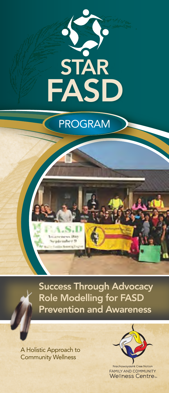

# PROGRAM *Rehabilitation Centre for Children*

Success Through Advocacy Role Modelling for FASD Prevention and Awareness

A Holistic Approach to Community Wellness



**FAMILY AND COMMUNITY Wellness Centre**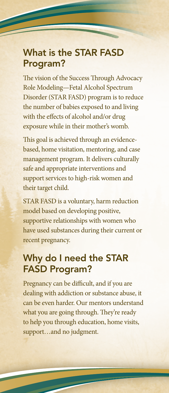# What is the STAR FASD Program?

The vision of the Success Through Advocacy Role Modeling—Fetal Alcohol Spectrum Disorder (STAR FASD) program is to reduce the number of babies exposed to and living with the effects of alcohol and/or drug exposure while in their mother's womb.

This goal is achieved through an evidencebased, home visitation, mentoring, and case management program. It delivers culturally safe and appropriate interventions and support services to high-risk women and their target child.

STAR FASD is a voluntary, harm reduction model based on developing positive, supportive relationships with women who have used substances during their current or recent pregnancy.

# Why do I need the STAR FASD Program?

Pregnancy can be difficult, and if you are dealing with addiction or substance abuse, it can be even harder. Our mentors understand what you are going through. They're ready to help you through education, home visits, support…and no judgment.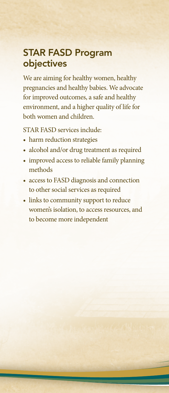# STAR FASD Program objectives

We are aiming for healthy women, healthy pregnancies and healthy babies. We advocate for improved outcomes, a safe and healthy environment, and a higher quality of life for both women and children.

STAR FASD services include:

- harm reduction strategies
- alcohol and/or drug treatment as required
- improved access to reliable family planning methods
- access to FASD diagnosis and connection to other social services as required
- links to community support to reduce women's isolation, to access resources, and to become more independent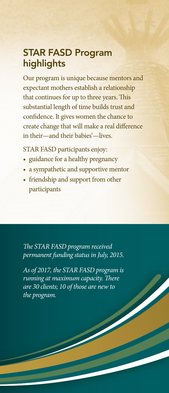# STAR FASD Program highlights

Our program is unique because mentors and expectant mothers establish a relationship that continues for up to three years. This substantial length of time builds trust and confidence. It gives women the chance to create change that will make a real difference in their—and their babies'—lives.

STAR FASD participants enjoy:

- guidance for a healthy pregnancy
- a sympathetic and supportive mentor
- friendship and support from other participants

*The STAR FASD program received permanent funding status in July, 2015.*

*As of 2017, the STAR FASD program is running at maximum capacity. There are 30 clients; 10 of those are new to the program.*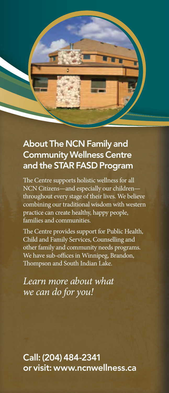

# About The NCN Family and Community Wellness Centre and the STAR FASD Program

The Centre supports holistic wellness for all NCN Citizens—and especially our childrenthroughout every stage of their lives. We believe combining our traditional wisdom with western practice can create healthy, happy people, families and communities.

The Centre provides support for Public Health, Child and Family Services, Counselling and other family and community needs programs. We have sub-offices in Winnipeg, Brandon, Thompson and South Indian Lake.

*Learn more about what we can do for you!*

Call: (204) 484-2341 or visit: www.ncnwellness.ca